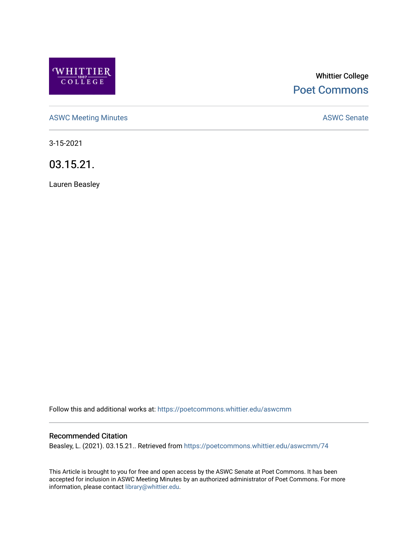

# Whittier College [Poet Commons](https://poetcommons.whittier.edu/)

[ASWC Meeting Minutes](https://poetcommons.whittier.edu/aswcmm) **ASWC Senate** 

3-15-2021

03.15.21.

Lauren Beasley

Follow this and additional works at: [https://poetcommons.whittier.edu/aswcmm](https://poetcommons.whittier.edu/aswcmm?utm_source=poetcommons.whittier.edu%2Faswcmm%2F74&utm_medium=PDF&utm_campaign=PDFCoverPages)

#### Recommended Citation

Beasley, L. (2021). 03.15.21.. Retrieved from [https://poetcommons.whittier.edu/aswcmm/74](https://poetcommons.whittier.edu/aswcmm/74?utm_source=poetcommons.whittier.edu%2Faswcmm%2F74&utm_medium=PDF&utm_campaign=PDFCoverPages)

This Article is brought to you for free and open access by the ASWC Senate at Poet Commons. It has been accepted for inclusion in ASWC Meeting Minutes by an authorized administrator of Poet Commons. For more information, please contact [library@whittier.edu.](mailto:library@whittier.edu)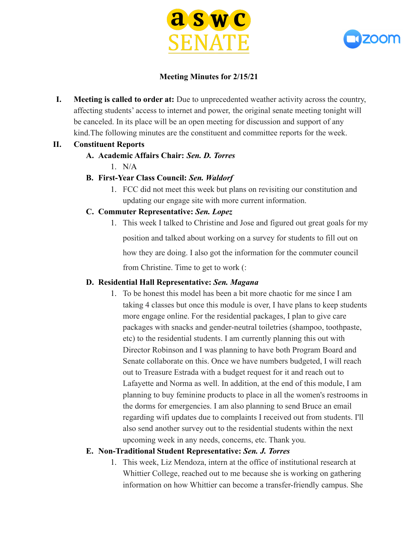



### **Meeting Minutes for 2/15/21**

**I. Meeting is called to order at:** Due to unprecedented weather activity across the country, affecting students' access to internet and power, the original senate meeting tonight will be canceled. In its place will be an open meeting for discussion and support of any kind.The following minutes are the constituent and committee reports for the week.

#### **II. Constituent Reports**

### **A. Academic Affairs Chair:** *Sen. D. Torres*

 $1$  N/A

### **B. First-Year Class Council:** *Sen. Waldorf*

1. FCC did not meet this week but plans on revisiting our constitution and updating our engage site with more current information.

### **C. Commuter Representative:** *Sen. Lopez*

1. This week I talked to Christine and Jose and figured out great goals for my position and talked about working on a survey for students to fill out on how they are doing. I also got the information for the commuter council from Christine. Time to get to work (:

#### **D. Residential Hall Representative:** *Sen. Magana*

1. To be honest this model has been a bit more chaotic for me since I am taking 4 classes but once this module is over, I have plans to keep students more engage online. For the residential packages, I plan to give care packages with snacks and gender-neutral toiletries (shampoo, toothpaste, etc) to the residential students. I am currently planning this out with Director Robinson and I was planning to have both Program Board and Senate collaborate on this. Once we have numbers budgeted, I will reach out to Treasure Estrada with a budget request for it and reach out to Lafayette and Norma as well. In addition, at the end of this module, I am planning to buy feminine products to place in all the women's restrooms in the dorms for emergencies. I am also planning to send Bruce an email regarding wifi updates due to complaints I received out from students. I'll also send another survey out to the residential students within the next upcoming week in any needs, concerns, etc. Thank you.

#### **E. Non-Traditional Student Representative:** *Sen. J. Torres*

1. This week, Liz Mendoza, intern at the office of institutional research at Whittier College, reached out to me because she is working on gathering information on how Whittier can become a transfer-friendly campus. She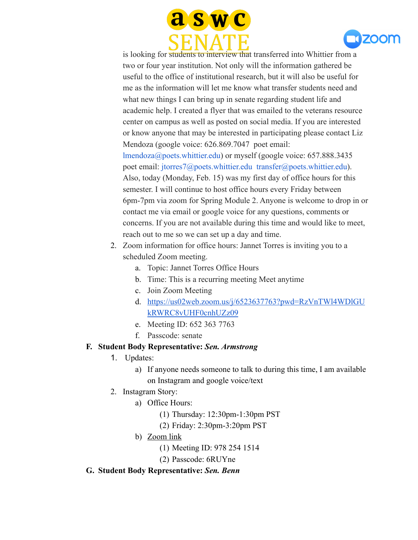



is looking for students to interview that transferred into Whittier from a two or four year institution. Not only will the information gathered be useful to the office of institutional research, but it will also be useful for me as the information will let me know what transfer students need and what new things I can bring up in senate regarding student life and academic help. I created a flyer that was emailed to the veterans resource center on campus as well as posted on social media. If you are interested or know anyone that may be interested in participating please contact Liz Mendoza (google voice: 626.869.7047 poet email: lmendoza@poets.whittier.edu) or myself (google voice: 657.888.3435 poet email: jtorres7@poets.whittier.edu transfer@poets.whittier.edu). Also, today (Monday, Feb. 15) was my first day of office hours for this semester. I will continue to host office hours every Friday between 6pm-7pm via zoom for Spring Module 2. Anyone is welcome to drop in or contact me via email or google voice for any questions, comments or concerns. If you are not available during this time and would like to meet, reach out to me so we can set up a day and time.

- 2. Zoom information for office hours: Jannet Torres is inviting you to a scheduled Zoom meeting.
	- a. Topic: Jannet Torres Office Hours
	- b. Time: This is a recurring meeting Meet anytime
	- c. Join Zoom Meeting
	- d. [https://us02web.zoom.us/j/6523637763?pwd=RzVnTWl4WDlGU](https://us02web.zoom.us/j/6523637763?pwd=RzVnTWl4WDlGUkRWRC8vUHF0cnhUZz09) [kRWRC8vUHF0cnhUZz09](https://us02web.zoom.us/j/6523637763?pwd=RzVnTWl4WDlGUkRWRC8vUHF0cnhUZz09)
	- e. Meeting ID: 652 363 7763
	- f. Passcode: senate

# **F. Student Body Representative:** *Sen. Armstrong*

- 1. Updates:
	- a) If anyone needs someone to talk to during this time, I am available on Instagram and google voice/text
- 2. Instagram Story:
	- a) Office Hours:
		- (1) Thursday: 12:30pm-1:30pm PST
		- (2) Friday: 2:30pm-3:20pm PST
	- b) [Zoom link](https://us02web.zoom.us/j/9782541514?pwd=RlZQMWFYSVp5elZwanJVMzBWRVdDdz09)
		- (1) Meeting ID: 978 254 1514
		- (2) Passcode: 6RUYne

### **G. Student Body Representative:** *Sen. Benn*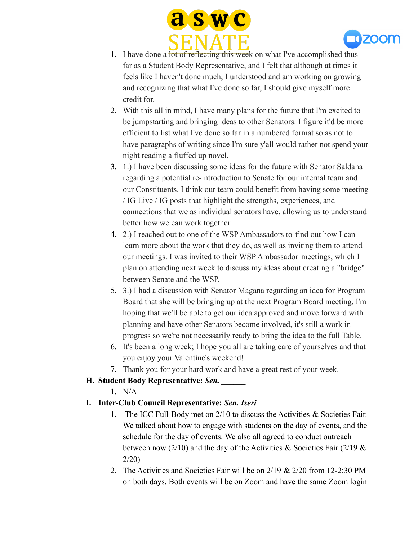



- 1. I have done a lot of reflecting this week on what I've accomplished thus far as a Student Body Representative, and I felt that although at times it feels like I haven't done much, I understood and am working on growing and recognizing that what I've done so far, I should give myself more credit for.
- 2. With this all in mind, I have many plans for the future that I'm excited to be jumpstarting and bringing ideas to other Senators. I figure it'd be more efficient to list what I've done so far in a numbered format so as not to have paragraphs of writing since I'm sure y'all would rather not spend your night reading a fluffed up novel.
- 3. 1.) I have been discussing some ideas for the future with Senator Saldana regarding a potential re-introduction to Senate for our internal team and our Constituents. I think our team could benefit from having some meeting / IG Live / IG posts that highlight the strengths, experiences, and connections that we as individual senators have, allowing us to understand better how we can work together.
- 4. 2.) I reached out to one of the WSP Ambassadors to find out how I can learn more about the work that they do, as well as inviting them to attend our meetings. I was invited to their WSP Ambassador meetings, which I plan on attending next week to discuss my ideas about creating a "bridge" between Senate and the WSP.
- 5. 3.) I had a discussion with Senator Magana regarding an idea for Program Board that she will be bringing up at the next Program Board meeting. I'm hoping that we'll be able to get our idea approved and move forward with planning and have other Senators become involved, it's still a work in progress so we're not necessarily ready to bring the idea to the full Table.
- 6. It's been a long week; I hope you all are taking care of yourselves and that you enjoy your Valentine's weekend!
- 7. Thank you for your hard work and have a great rest of your week.

# **H. Student Body Representative:** *Sen. \_\_\_\_\_\_*

1. N/A

# **I. Inter-Club Council Representative:** *Sen. Iseri*

- 1. The ICC Full-Body met on 2/10 to discuss the Activities & Societies Fair. We talked about how to engage with students on the day of events, and the schedule for the day of events. We also all agreed to conduct outreach between now (2/10) and the day of the Activities & Societies Fair (2/19  $\&$ 2/20)
- 2. The Activities and Societies Fair will be on 2/19 & 2/20 from 12-2:30 PM on both days. Both events will be on Zoom and have the same Zoom login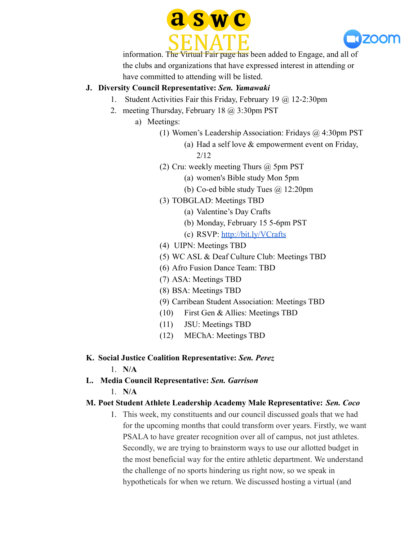



information. The Virtual Fair page has been added to Engage, and all of the clubs and organizations that have expressed interest in attending or have committed to attending will be listed.

### **J. Diversity Council Representative:** *Sen. Yamawaki*

- 1. Student Activities Fair this Friday, February 19 @ 12-2:30pm
- 2. meeting Thursday, February 18 @ 3:30pm PST
	- a) Meetings:
		- (1) Women's Leadership Association: Fridays @ 4:30pm PST
			- (a) Had a self love & empowerment event on Friday,

2/12

- (2) Cru: weekly meeting Thurs @ 5pm PST
	- (a) women's Bible study Mon 5pm
	- (b) Co-ed bible study Tues  $\omega$  12:20pm
- (3) TOBGLAD: Meetings TBD
	- (a) Valentine's Day Crafts
	- (b) Monday, February 15 5-6pm PST
	- (c) RSVP: <http://bit.ly/VCrafts>
- (4) UIPN: Meetings TBD
- (5) WC ASL & Deaf Culture Club: Meetings TBD
- (6) Afro Fusion Dance Team: TBD
- (7) ASA: Meetings TBD
- (8) BSA: Meetings TBD
- (9) Carribean Student Association: Meetings TBD
- (10) First Gen & Allies: Meetings TBD
- (11) JSU: Meetings TBD
- (12) MEChA: Meetings TBD
- **K. Social Justice Coalition Representative:** *Sen. Perez*

1. **N/A**

**L. Media Council Representative:** *Sen. Garrison*

1. **N/A**

### **M. Poet Student Athlete Leadership Academy Male Representative:** *Sen. Coco*

1. This week, my constituents and our council discussed goals that we had for the upcoming months that could transform over years. Firstly, we want PSALA to have greater recognition over all of campus, not just athletes. Secondly, we are trying to brainstorm ways to use our allotted budget in the most beneficial way for the entire athletic department. We understand the challenge of no sports hindering us right now, so we speak in hypotheticals for when we return. We discussed hosting a virtual (and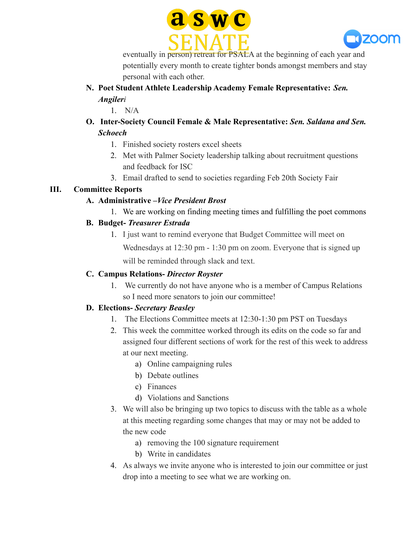



eventually in person) retreat for PSALA at the beginning of each year and potentially every month to create tighter bonds amongst members and stay personal with each other.

**N. Poet Student Athlete Leadership Academy Female Representative:** *Sen. Angileri*

1. N/A

- **O. Inter-Society Council Female & Male Representative:** *Sen. Saldana and Sen. Schoech*
	- 1. Finished society rosters excel sheets
	- 2. Met with Palmer Society leadership talking about recruitment questions and feedback for ISC
	- 3. Email drafted to send to societies regarding Feb 20th Society Fair

# **III. Committee Reports**

### **A. Administrative –***Vice President Brost*

1. We are working on finding meeting times and fulfilling the poet commons

# **B. Budget-** *Treasurer Estrada*

1. I just want to remind everyone that Budget Committee will meet on Wednesdays at 12:30 pm - 1:30 pm on zoom. Everyone that is signed up will be reminded through slack and text.

## **C. Campus Relations-** *Director Royster*

1. We currently do not have anyone who is a member of Campus Relations so I need more senators to join our committee!

# **D. Elections-** *Secretary Beasley*

- 1. The Elections Committee meets at 12:30-1:30 pm PST on Tuesdays
- 2. This week the committee worked through its edits on the code so far and assigned four different sections of work for the rest of this week to address at our next meeting.
	- a) Online campaigning rules
	- b) Debate outlines
	- c) Finances
	- d) Violations and Sanctions
- 3. We will also be bringing up two topics to discuss with the table as a whole at this meeting regarding some changes that may or may not be added to the new code
	- a) removing the 100 signature requirement
	- b) Write in candidates
- 4. As always we invite anyone who is interested to join our committee or just drop into a meeting to see what we are working on.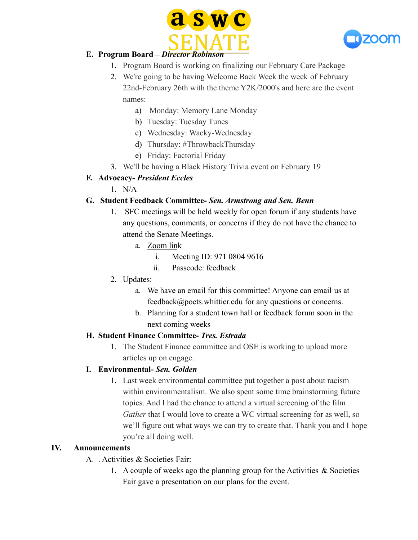



## **E. Program Board –** *Director Robinson*

- 1. Program Board is working on finalizing our February Care Package
- 2. We're going to be having Welcome Back Week the week of February 22nd-February 26th with the theme Y2K/2000's and here are the event names:
	- a) Monday: Memory Lane Monday
	- b) Tuesday: Tuesday Tunes
	- c) Wednesday: Wacky-Wednesday
	- d) Thursday: #ThrowbackThursday
	- e) Friday: Factorial Friday
- 3. We'll be having a Black History Trivia event on February 19

### **F. Advocacy-** *President Eccles*

 $1$  N/A

### **G. Student Feedback Committee-** *Sen. Armstrong and Sen. Benn*

- 1. SFC meetings will be held weekly for open forum if any students have any questions, comments, or concerns if they do not have the chance to attend the Senate Meetings.
	- a. [Zoom lin](https://zoom.us/j/97108049616pwd=bkxIeDJ2NG1paWQxcTlCVk1ESTduZz09)k
		- i. Meeting ID: 971 0804 9616
		- ii. Passcode: feedback
- 2. Updates:
	- a. We have an email for this committee! Anyone can email us at feedback@poets.whittier.edu for any questions or concerns.
	- b. Planning for a student town hall or feedback forum soon in the next coming weeks

#### **H. Student Finance Committee-** *Tres. Estrada*

1. The Student Finance committee and OSE is working to upload more articles up on engage.

#### **I. Environmental-** *Sen. Golden*

1. Last week environmental committee put together a post about racism within environmentalism. We also spent some time brainstorming future topics. And I had the chance to attend a virtual screening of the film *Gather* that I would love to create a WC virtual screening for as well, so we'll figure out what ways we can try to create that. Thank you and I hope you're all doing well.

#### **IV. Announcements**

- A. Activities & Societies Fair:
	- 1. A couple of weeks ago the planning group for the Activities  $\&$  Societies Fair gave a presentation on our plans for the event.